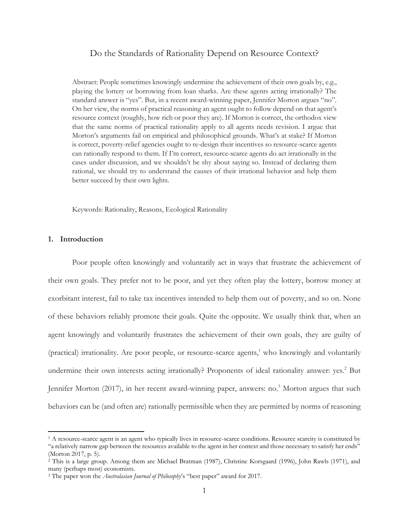# Do the Standards of Rationality Depend on Resource Context?

Abstract: People sometimes knowingly undermine the achievement of their own goals by, e.g., playing the lottery or borrowing from loan sharks. Are these agents acting irrationally? The standard answer is "yes". But, in a recent award-winning paper, Jennifer Morton argues "no". On her view, the norms of practical reasoning an agent ought to follow depend on that agent's resource context (roughly, how rich or poor they are). If Morton is correct, the orthodox view that the same norms of practical rationality apply to all agents needs revision. I argue that Morton's arguments fail on empirical and philosophical grounds. What's at stake? If Morton is correct, poverty-relief agencies ought to re-design their incentives so resource-scarce agents can rationally respond to them. If I'm correct, resource-scarce agents do act irrationally in the cases under discussion, and we shouldn't be shy about saying so. Instead of declaring them rational, we should try to understand the causes of their irrational behavior and help them better succeed by their own lights.

Keywords: Rationality, Reasons, Ecological Rationality

## **1. Introduction**

Poor people often knowingly and voluntarily act in ways that frustrate the achievement of their own goals. They prefer not to be poor, and yet they often play the lottery, borrow money at exorbitant interest, fail to take tax incentives intended to help them out of poverty, and so on. None of these behaviors reliably promote their goals. Quite the opposite. We usually think that, when an agent knowingly and voluntarily frustrates the achievement of their own goals, they are guilty of (practical) irrationality. Are poor people, or resource-scarce agents, $<sup>1</sup>$  who knowingly and voluntarily</sup> undermine their own interests acting irrationally? Proponents of ideal rationality answer: yes.<sup>2</sup> But Jennifer Morton (2017), in her recent award-winning paper, answers: no.<sup>3</sup> Morton argues that such behaviors can be (and often are) rationally permissible when they are permitted by norms of reasoning

<sup>&</sup>lt;sup>1</sup> A resource-scarce agent is an agent who typically lives in resource-scarce conditions. Resource scarcity is constituted by "a relatively narrow gap between the resources available to the agent in her context and those necessary to satisfy her ends" (Morton 2017, p. 5).

<sup>2</sup> This is a large group. Among them are Michael Bratman (1987), Christine Korsgaard (1996), John Rawls (1971), and many (perhaps most) economists.

<sup>3</sup> The paper won the *Australasian Journal of Philosophy*'s "best paper" award for 2017.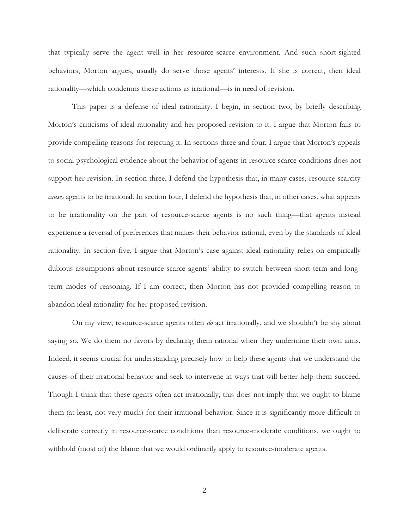that typically serve the agent well in her resource-scarce environment. And such short-sighted behaviors, Morton argues, usually do serve those agents' interests. If she is correct, then ideal rationality—which condemns these actions as irrational—is in need of revision.

This paper is a defense of ideal rationality. I begin, in section two, by briefly describing Morton's criticisms of ideal rationality and her proposed revision to it. I argue that Morton fails to provide compelling reasons for rejecting it. In sections three and four, I argue that Morton's appeals to social psychological evidence about the behavior of agents in resource scarce conditions does not support her revision. In section three, I defend the hypothesis that, in many cases, resource scarcity *causes* agents to be irrational. In section four, I defend the hypothesis that, in other cases, what appears to be irrationality on the part of resource-scarce agents is no such thing—that agents instead experience a reversal of preferences that makes their behavior rational, even by the standards of ideal rationality. In section five, I argue that Morton's case against ideal rationality relies on empirically dubious assumptions about resource-scarce agents' ability to switch between short-term and longterm modes of reasoning. If I am correct, then Morton has not provided compelling reason to abandon ideal rationality for her proposed revision.

On my view, resource-scarce agents often *do* act irrationally, and we shouldn't be shy about saying so. We do them no favors by declaring them rational when they undermine their own aims. Indeed, it seems crucial for understanding precisely how to help these agents that we understand the causes of their irrational behavior and seek to intervene in ways that will better help them succeed. Though I think that these agents often act irrationally, this does not imply that we ought to blame them (at least, not very much) for their irrational behavior. Since it is significantly more difficult to deliberate correctly in resource-scarce conditions than resource-moderate conditions, we ought to withhold (most of) the blame that we would ordinarily apply to resource-moderate agents.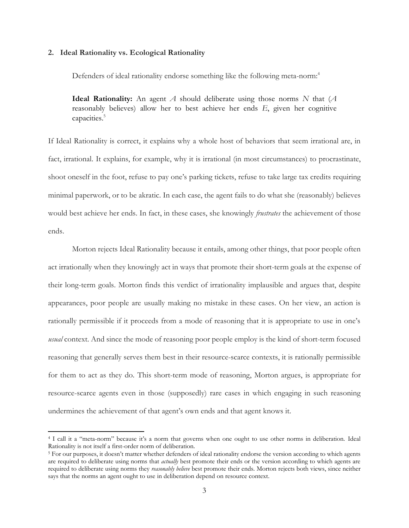### **2. Ideal Rationality vs. Ecological Rationality**

Defenders of ideal rationality endorse something like the following meta-norm: 4

**Ideal Rationality:** An agent *A* should deliberate using those norms *N* that (*A*  reasonably believes) allow her to best achieve her ends *E*, given her cognitive capacities.<sup>5</sup>

If Ideal Rationality is correct, it explains why a whole host of behaviors that seem irrational are, in fact, irrational. It explains, for example, why it is irrational (in most circumstances) to procrastinate, shoot oneself in the foot, refuse to pay one's parking tickets, refuse to take large tax credits requiring minimal paperwork, or to be akratic. In each case, the agent fails to do what she (reasonably) believes would best achieve her ends. In fact, in these cases, she knowingly *frustrates* the achievement of those ends.

Morton rejects Ideal Rationality because it entails, among other things, that poor people often act irrationally when they knowingly act in ways that promote their short-term goals at the expense of their long-term goals. Morton finds this verdict of irrationality implausible and argues that, despite appearances, poor people are usually making no mistake in these cases. On her view, an action is rationally permissible if it proceeds from a mode of reasoning that it is appropriate to use in one's *usual* context. And since the mode of reasoning poor people employ is the kind of short-term focused reasoning that generally serves them best in their resource-scarce contexts, it is rationally permissible for them to act as they do. This short-term mode of reasoning, Morton argues, is appropriate for resource-scarce agents even in those (supposedly) rare cases in which engaging in such reasoning undermines the achievement of that agent's own ends and that agent knows it.

<sup>4</sup> I call it a "meta-norm" because it's a norm that governs when one ought to use other norms in deliberation. Ideal Rationality is not itself a first-order norm of deliberation.

<sup>5</sup> For our purposes, it doesn't matter whether defenders of ideal rationality endorse the version according to which agents are required to deliberate using norms that *actually* best promote their ends or the version according to which agents are required to deliberate using norms they *reasonably believe* best promote their ends. Morton rejects both views, since neither says that the norms an agent ought to use in deliberation depend on resource context.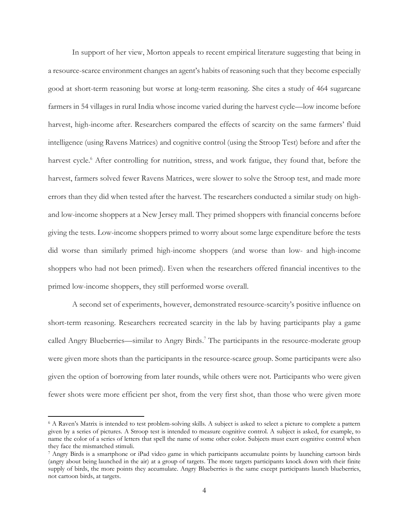In support of her view, Morton appeals to recent empirical literature suggesting that being in a resource-scarce environment changes an agent's habits of reasoning such that they become especially good at short-term reasoning but worse at long-term reasoning. She cites a study of 464 sugarcane farmers in 54 villages in rural India whose income varied during the harvest cycle—low income before harvest, high-income after. Researchers compared the effects of scarcity on the same farmers' fluid intelligence (using Ravens Matrices) and cognitive control (using the Stroop Test) before and after the harvest cycle.<sup>6</sup> After controlling for nutrition, stress, and work fatigue, they found that, before the harvest, farmers solved fewer Ravens Matrices, were slower to solve the Stroop test, and made more errors than they did when tested after the harvest. The researchers conducted a similar study on highand low-income shoppers at a New Jersey mall. They primed shoppers with financial concerns before giving the tests. Low-income shoppers primed to worry about some large expenditure before the tests did worse than similarly primed high-income shoppers (and worse than low- and high-income shoppers who had not been primed). Even when the researchers offered financial incentives to the primed low-income shoppers, they still performed worse overall.

A second set of experiments, however, demonstrated resource-scarcity's positive influence on short-term reasoning. Researchers recreated scarcity in the lab by having participants play a game called Angry Blueberries—similar to Angry Birds.<sup>7</sup> The participants in the resource-moderate group were given more shots than the participants in the resource-scarce group. Some participants were also given the option of borrowing from later rounds, while others were not. Participants who were given fewer shots were more efficient per shot, from the very first shot, than those who were given more

<sup>6</sup> A Raven's Matrix is intended to test problem-solving skills. A subject is asked to select a picture to complete a pattern given by a series of pictures. A Stroop test is intended to measure cognitive control. A subject is asked, for example, to name the color of a series of letters that spell the name of some other color. Subjects must exert cognitive control when they face the mismatched stimuli.

<sup>7</sup> Angry Birds is a smartphone or iPad video game in which participants accumulate points by launching cartoon birds (angry about being launched in the air) at a group of targets. The more targets participants knock down with their finite supply of birds, the more points they accumulate. Angry Blueberries is the same except participants launch blueberries, not cartoon birds, at targets.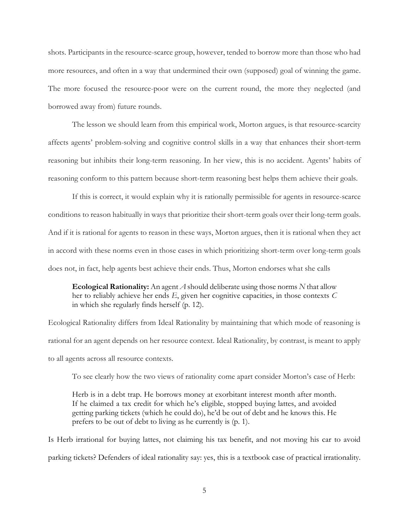shots. Participants in the resource-scarce group, however, tended to borrow more than those who had more resources, and often in a way that undermined their own (supposed) goal of winning the game. The more focused the resource-poor were on the current round, the more they neglected (and borrowed away from) future rounds.

The lesson we should learn from this empirical work, Morton argues, is that resource-scarcity affects agents' problem-solving and cognitive control skills in a way that enhances their short-term reasoning but inhibits their long-term reasoning. In her view, this is no accident. Agents' habits of reasoning conform to this pattern because short-term reasoning best helps them achieve their goals.

If this is correct, it would explain why it is rationally permissible for agents in resource-scarce conditions to reason habitually in ways that prioritize their short-term goals over their long-term goals. And if it is rational for agents to reason in these ways, Morton argues, then it is rational when they act in accord with these norms even in those cases in which prioritizing short-term over long-term goals does not, in fact, help agents best achieve their ends. Thus, Morton endorses what she calls

**Ecological Rationality:** An agent *A* should deliberate using those norms *N* that allow her to reliably achieve her ends *E*, given her cognitive capacities, in those contexts *C* in which she regularly finds herself (p. 12).

Ecological Rationality differs from Ideal Rationality by maintaining that which mode of reasoning is rational for an agent depends on her resource context. Ideal Rationality, by contrast, is meant to apply to all agents across all resource contexts.

To see clearly how the two views of rationality come apart consider Morton's case of Herb:

Herb is in a debt trap. He borrows money at exorbitant interest month after month. If he claimed a tax credit for which he's eligible, stopped buying lattes, and avoided getting parking tickets (which he could do), he'd be out of debt and he knows this. He prefers to be out of debt to living as he currently is (p. 1).

Is Herb irrational for buying lattes, not claiming his tax benefit, and not moving his car to avoid parking tickets? Defenders of ideal rationality say: yes, this is a textbook case of practical irrationality.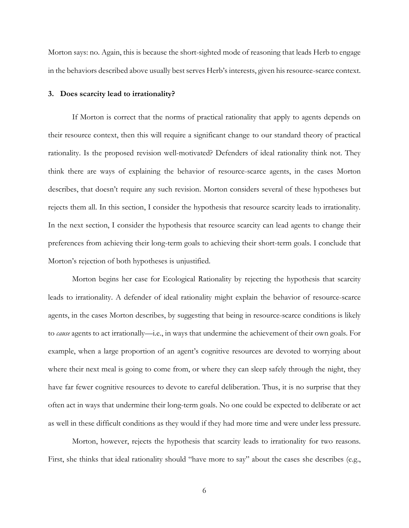Morton says: no. Again, this is because the short-sighted mode of reasoning that leads Herb to engage in the behaviors described above usually best serves Herb's interests, given his resource-scarce context.

### **3. Does scarcity lead to irrationality?**

If Morton is correct that the norms of practical rationality that apply to agents depends on their resource context, then this will require a significant change to our standard theory of practical rationality. Is the proposed revision well-motivated? Defenders of ideal rationality think not. They think there are ways of explaining the behavior of resource-scarce agents, in the cases Morton describes, that doesn't require any such revision. Morton considers several of these hypotheses but rejects them all. In this section, I consider the hypothesis that resource scarcity leads to irrationality. In the next section, I consider the hypothesis that resource scarcity can lead agents to change their preferences from achieving their long-term goals to achieving their short-term goals. I conclude that Morton's rejection of both hypotheses is unjustified.

Morton begins her case for Ecological Rationality by rejecting the hypothesis that scarcity leads to irrationality. A defender of ideal rationality might explain the behavior of resource-scarce agents, in the cases Morton describes, by suggesting that being in resource-scarce conditions is likely to *cause* agents to act irrationally—i.e., in ways that undermine the achievement of their own goals. For example, when a large proportion of an agent's cognitive resources are devoted to worrying about where their next meal is going to come from, or where they can sleep safely through the night, they have far fewer cognitive resources to devote to careful deliberation. Thus, it is no surprise that they often act in ways that undermine their long-term goals. No one could be expected to deliberate or act as well in these difficult conditions as they would if they had more time and were under less pressure.

Morton, however, rejects the hypothesis that scarcity leads to irrationality for two reasons. First, she thinks that ideal rationality should "have more to say" about the cases she describes (e.g.,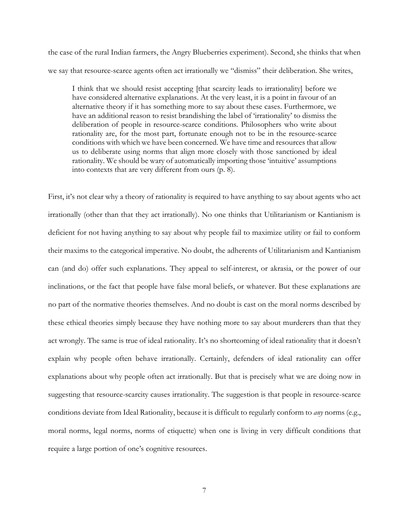the case of the rural Indian farmers, the Angry Blueberries experiment). Second, she thinks that when we say that resource-scarce agents often act irrationally we "dismiss" their deliberation. She writes,

I think that we should resist accepting [that scarcity leads to irrationality] before we have considered alternative explanations. At the very least, it is a point in favour of an alternative theory if it has something more to say about these cases. Furthermore, we have an additional reason to resist brandishing the label of 'irrationality' to dismiss the deliberation of people in resource-scarce conditions. Philosophers who write about rationality are, for the most part, fortunate enough not to be in the resource-scarce conditions with which we have been concerned. We have time and resources that allow us to deliberate using norms that align more closely with those sanctioned by ideal rationality. We should be wary of automatically importing those 'intuitive' assumptions into contexts that are very different from ours (p. 8).

First, it's not clear why a theory of rationality is required to have anything to say about agents who act irrationally (other than that they act irrationally). No one thinks that Utilitarianism or Kantianism is deficient for not having anything to say about why people fail to maximize utility or fail to conform their maxims to the categorical imperative. No doubt, the adherents of Utilitarianism and Kantianism can (and do) offer such explanations. They appeal to self-interest, or akrasia, or the power of our inclinations, or the fact that people have false moral beliefs, or whatever. But these explanations are no part of the normative theories themselves. And no doubt is cast on the moral norms described by these ethical theories simply because they have nothing more to say about murderers than that they act wrongly. The same is true of ideal rationality. It's no shortcoming of ideal rationality that it doesn't explain why people often behave irrationally. Certainly, defenders of ideal rationality can offer explanations about why people often act irrationally. But that is precisely what we are doing now in suggesting that resource-scarcity causes irrationality. The suggestion is that people in resource-scarce conditions deviate from Ideal Rationality, because it is difficult to regularly conform to *any* norms (e.g., moral norms, legal norms, norms of etiquette) when one is living in very difficult conditions that require a large portion of one's cognitive resources.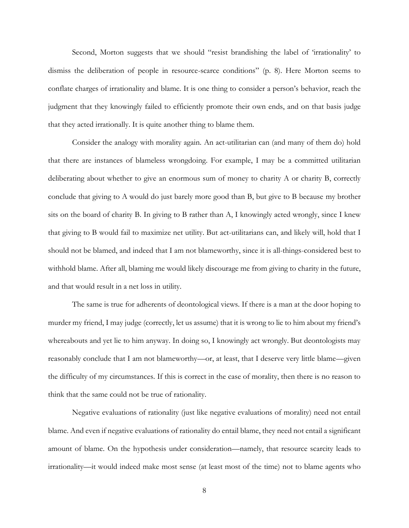Second, Morton suggests that we should "resist brandishing the label of 'irrationality' to dismiss the deliberation of people in resource-scarce conditions" (p. 8). Here Morton seems to conflate charges of irrationality and blame. It is one thing to consider a person's behavior, reach the judgment that they knowingly failed to efficiently promote their own ends, and on that basis judge that they acted irrationally. It is quite another thing to blame them.

Consider the analogy with morality again. An act-utilitarian can (and many of them do) hold that there are instances of blameless wrongdoing. For example, I may be a committed utilitarian deliberating about whether to give an enormous sum of money to charity A or charity B, correctly conclude that giving to A would do just barely more good than B, but give to B because my brother sits on the board of charity B. In giving to B rather than A, I knowingly acted wrongly, since I knew that giving to B would fail to maximize net utility. But act-utilitarians can, and likely will, hold that I should not be blamed, and indeed that I am not blameworthy, since it is all-things-considered best to withhold blame. After all, blaming me would likely discourage me from giving to charity in the future, and that would result in a net loss in utility.

The same is true for adherents of deontological views. If there is a man at the door hoping to murder my friend, I may judge (correctly, let us assume) that it is wrong to lie to him about my friend's whereabouts and yet lie to him anyway. In doing so, I knowingly act wrongly. But deontologists may reasonably conclude that I am not blameworthy—or, at least, that I deserve very little blame—given the difficulty of my circumstances. If this is correct in the case of morality, then there is no reason to think that the same could not be true of rationality.

Negative evaluations of rationality (just like negative evaluations of morality) need not entail blame. And even if negative evaluations of rationality do entail blame, they need not entail a significant amount of blame. On the hypothesis under consideration—namely, that resource scarcity leads to irrationality—it would indeed make most sense (at least most of the time) not to blame agents who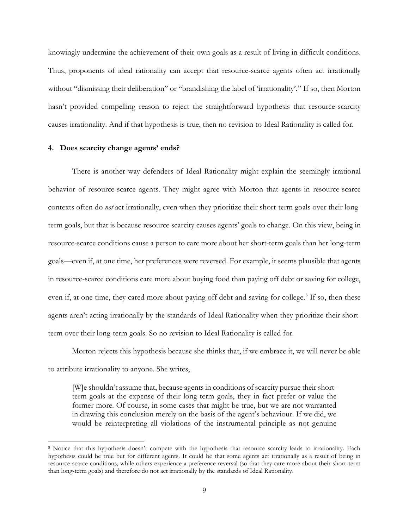knowingly undermine the achievement of their own goals as a result of living in difficult conditions. Thus, proponents of ideal rationality can accept that resource-scarce agents often act irrationally without "dismissing their deliberation" or "brandishing the label of 'irrationality'." If so, then Morton hasn't provided compelling reason to reject the straightforward hypothesis that resource-scarcity causes irrationality. And if that hypothesis is true, then no revision to Ideal Rationality is called for.

## **4. Does scarcity change agents' ends?**

There is another way defenders of Ideal Rationality might explain the seemingly irrational behavior of resource-scarce agents. They might agree with Morton that agents in resource-scarce contexts often do *not* act irrationally, even when they prioritize their short-term goals over their longterm goals, but that is because resource scarcity causes agents' goals to change. On this view, being in resource-scarce conditions cause a person to care more about her short-term goals than her long-term goals—even if, at one time, her preferences were reversed. For example, it seems plausible that agents in resource-scarce conditions care more about buying food than paying off debt or saving for college, even if, at one time, they cared more about paying off debt and saving for college.<sup>8</sup> If so, then these agents aren't acting irrationally by the standards of Ideal Rationality when they prioritize their shortterm over their long-term goals. So no revision to Ideal Rationality is called for.

Morton rejects this hypothesis because she thinks that, if we embrace it, we will never be able to attribute irrationality to anyone. She writes,

[W]e shouldn't assume that, because agents in conditions of scarcity pursue their shortterm goals at the expense of their long-term goals, they in fact prefer or value the former more. Of course, in some cases that might be true, but we are not warranted in drawing this conclusion merely on the basis of the agent's behaviour. If we did, we would be reinterpreting all violations of the instrumental principle as not genuine

<sup>8</sup> Notice that this hypothesis doesn't compete with the hypothesis that resource scarcity leads to irrationality. Each hypothesis could be true but for different agents. It could be that some agents act irrationally as a result of being in resource-scarce conditions, while others experience a preference reversal (so that they care more about their short-term than long-term goals) and therefore do not act irrationally by the standards of Ideal Rationality.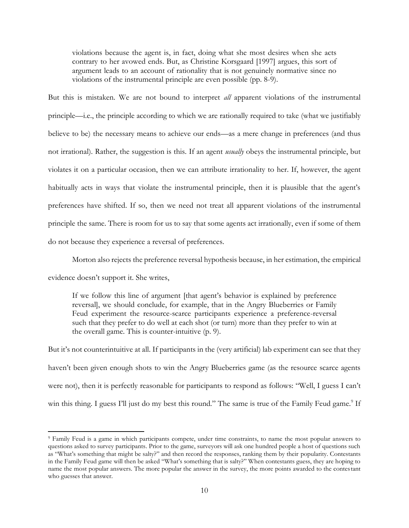violations because the agent is, in fact, doing what she most desires when she acts contrary to her avowed ends. But, as Christine Korsgaard [1997] argues, this sort of argument leads to an account of rationality that is not genuinely normative since no violations of the instrumental principle are even possible (pp. 8-9).

But this is mistaken. We are not bound to interpret *all* apparent violations of the instrumental principle—i.e., the principle according to which we are rationally required to take (what we justifiably believe to be) the necessary means to achieve our ends—as a mere change in preferences (and thus not irrational). Rather, the suggestion is this. If an agent *usually* obeys the instrumental principle, but violates it on a particular occasion, then we can attribute irrationality to her. If, however, the agent habitually acts in ways that violate the instrumental principle, then it is plausible that the agent's preferences have shifted. If so, then we need not treat all apparent violations of the instrumental principle the same. There is room for us to say that some agents act irrationally, even if some of them do not because they experience a reversal of preferences.

Morton also rejects the preference reversal hypothesis because, in her estimation, the empirical

evidence doesn't support it. She writes,

If we follow this line of argument [that agent's behavior is explained by preference reversal], we should conclude, for example, that in the Angry Blueberries or Family Feud experiment the resource-scarce participants experience a preference-reversal such that they prefer to do well at each shot (or turn) more than they prefer to win at the overall game. This is counter-intuitive (p. 9).

But it's not counterintuitive at all. If participants in the (very artificial) lab experiment can see that they haven't been given enough shots to win the Angry Blueberries game (as the resource scarce agents were not), then it is perfectly reasonable for participants to respond as follows: "Well, I guess I can't win this thing. I guess I'll just do my best this round." The same is true of the Family Feud game.<sup>9</sup> If

<sup>9</sup> Family Feud is a game in which participants compete, under time constraints, to name the most popular answers to questions asked to survey participants. Prior to the game, surveyors will ask one hundred people a host of questions such as "What's something that might be salty?" and then record the responses, ranking them by their popularity. Contestants in the Family Feud game will then be asked "What's something that is salty?" When contestants guess, they are hoping to name the most popular answers. The more popular the answer in the survey, the more points awarded to the contestant who guesses that answer.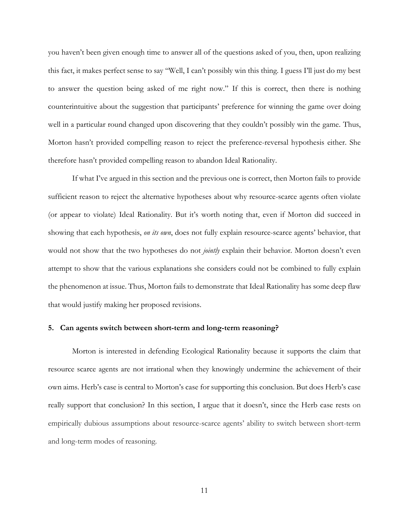you haven't been given enough time to answer all of the questions asked of you, then, upon realizing this fact, it makes perfect sense to say "Well, I can't possibly win this thing. I guess I'll just do my best to answer the question being asked of me right now." If this is correct, then there is nothing counterintuitive about the suggestion that participants' preference for winning the game over doing well in a particular round changed upon discovering that they couldn't possibly win the game. Thus, Morton hasn't provided compelling reason to reject the preference-reversal hypothesis either. She therefore hasn't provided compelling reason to abandon Ideal Rationality.

If what I've argued in this section and the previous one is correct, then Morton fails to provide sufficient reason to reject the alternative hypotheses about why resource-scarce agents often violate (or appear to violate) Ideal Rationality. But it's worth noting that, even if Morton did succeed in showing that each hypothesis, *on its own*, does not fully explain resource-scarce agents' behavior, that would not show that the two hypotheses do not *jointly* explain their behavior. Morton doesn't even attempt to show that the various explanations she considers could not be combined to fully explain the phenomenon at issue. Thus, Morton fails to demonstrate that Ideal Rationality has some deep flaw that would justify making her proposed revisions.

## **5. Can agents switch between short-term and long-term reasoning?**

Morton is interested in defending Ecological Rationality because it supports the claim that resource scarce agents are not irrational when they knowingly undermine the achievement of their own aims. Herb's case is central to Morton's case for supporting this conclusion. But does Herb's case really support that conclusion? In this section, I argue that it doesn't, since the Herb case rests on empirically dubious assumptions about resource-scarce agents' ability to switch between short-term and long-term modes of reasoning.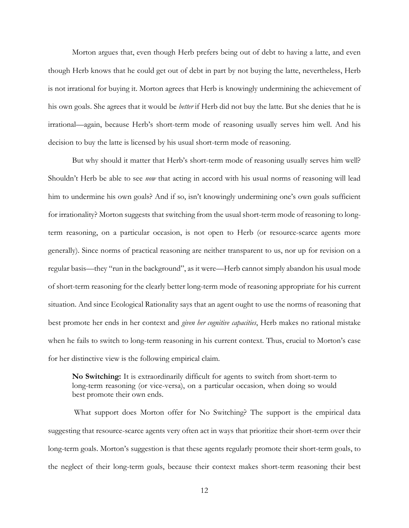Morton argues that, even though Herb prefers being out of debt to having a latte, and even though Herb knows that he could get out of debt in part by not buying the latte, nevertheless, Herb is not irrational for buying it. Morton agrees that Herb is knowingly undermining the achievement of his own goals. She agrees that it would be *better* if Herb did not buy the latte. But she denies that he is irrational—again, because Herb's short-term mode of reasoning usually serves him well. And his decision to buy the latte is licensed by his usual short-term mode of reasoning.

But why should it matter that Herb's short-term mode of reasoning usually serves him well? Shouldn't Herb be able to see *now* that acting in accord with his usual norms of reasoning will lead him to undermine his own goals? And if so, isn't knowingly undermining one's own goals sufficient for irrationality? Morton suggests that switching from the usual short-term mode of reasoning to longterm reasoning, on a particular occasion, is not open to Herb (or resource-scarce agents more generally). Since norms of practical reasoning are neither transparent to us, nor up for revision on a regular basis—they "run in the background", as it were—Herb cannot simply abandon his usual mode of short-term reasoning for the clearly better long-term mode of reasoning appropriate for his current situation. And since Ecological Rationality says that an agent ought to use the norms of reasoning that best promote her ends in her context and *given her cognitive capacities*, Herb makes no rational mistake when he fails to switch to long-term reasoning in his current context. Thus, crucial to Morton's case for her distinctive view is the following empirical claim.

**No Switching:** It is extraordinarily difficult for agents to switch from short-term to long-term reasoning (or vice-versa), on a particular occasion, when doing so would best promote their own ends.

What support does Morton offer for No Switching? The support is the empirical data suggesting that resource-scarce agents very often act in ways that prioritize their short-term over their long-term goals. Morton's suggestion is that these agents regularly promote their short-term goals, to the neglect of their long-term goals, because their context makes short-term reasoning their best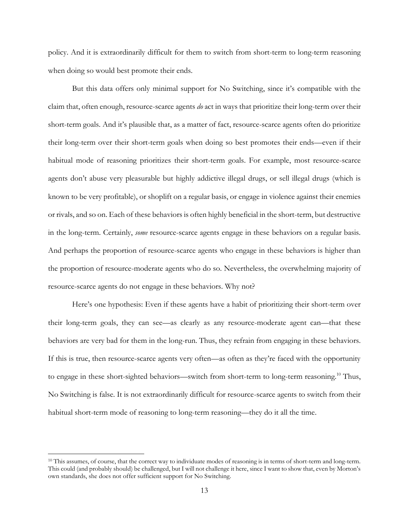policy. And it is extraordinarily difficult for them to switch from short-term to long-term reasoning when doing so would best promote their ends.

But this data offers only minimal support for No Switching, since it's compatible with the claim that, often enough, resource-scarce agents *do* act in ways that prioritize their long-term over their short-term goals. And it's plausible that, as a matter of fact, resource-scarce agents often do prioritize their long-term over their short-term goals when doing so best promotes their ends—even if their habitual mode of reasoning prioritizes their short-term goals. For example, most resource-scarce agents don't abuse very pleasurable but highly addictive illegal drugs, or sell illegal drugs (which is known to be very profitable), or shoplift on a regular basis, or engage in violence against their enemies or rivals, and so on. Each of these behaviors is often highly beneficial in the short-term, but destructive in the long-term. Certainly, *some* resource-scarce agents engage in these behaviors on a regular basis. And perhaps the proportion of resource-scarce agents who engage in these behaviors is higher than the proportion of resource-moderate agents who do so. Nevertheless, the overwhelming majority of resource-scarce agents do not engage in these behaviors. Why not?

Here's one hypothesis: Even if these agents have a habit of prioritizing their short-term over their long-term goals, they can see—as clearly as any resource-moderate agent can—that these behaviors are very bad for them in the long-run. Thus, they refrain from engaging in these behaviors. If this is true, then resource-scarce agents very often—as often as they're faced with the opportunity to engage in these short-sighted behaviors—switch from short-term to long-term reasoning.<sup>10</sup> Thus, No Switching is false. It is not extraordinarily difficult for resource-scarce agents to switch from their habitual short-term mode of reasoning to long-term reasoning—they do it all the time.

<sup>&</sup>lt;sup>10</sup> This assumes, of course, that the correct way to individuate modes of reasoning is in terms of short-term and long-term. This could (and probably should) be challenged, but I will not challenge it here, since I want to show that, even by Morton's own standards, she does not offer sufficient support for No Switching.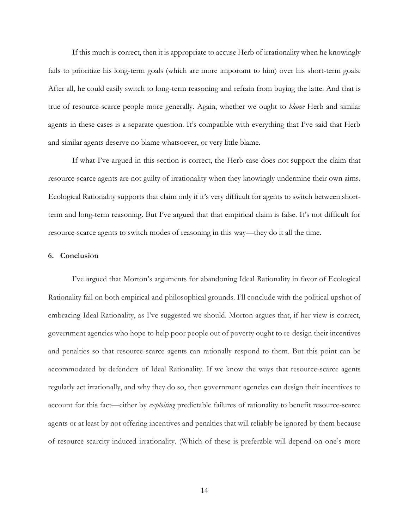If this much is correct, then it is appropriate to accuse Herb of irrationality when he knowingly fails to prioritize his long-term goals (which are more important to him) over his short-term goals. After all, he could easily switch to long-term reasoning and refrain from buying the latte. And that is true of resource-scarce people more generally. Again, whether we ought to *blame* Herb and similar agents in these cases is a separate question. It's compatible with everything that I've said that Herb and similar agents deserve no blame whatsoever, or very little blame.

If what I've argued in this section is correct, the Herb case does not support the claim that resource-scarce agents are not guilty of irrationality when they knowingly undermine their own aims. Ecological Rationality supports that claim only if it's very difficult for agents to switch between shortterm and long-term reasoning. But I've argued that that empirical claim is false. It's not difficult for resource-scarce agents to switch modes of reasoning in this way—they do it all the time.

### **6. Conclusion**

I've argued that Morton's arguments for abandoning Ideal Rationality in favor of Ecological Rationality fail on both empirical and philosophical grounds. I'll conclude with the political upshot of embracing Ideal Rationality, as I've suggested we should. Morton argues that, if her view is correct, government agencies who hope to help poor people out of poverty ought to re-design their incentives and penalties so that resource-scarce agents can rationally respond to them. But this point can be accommodated by defenders of Ideal Rationality. If we know the ways that resource-scarce agents regularly act irrationally, and why they do so, then government agencies can design their incentives to account for this fact—either by *exploiting* predictable failures of rationality to benefit resource-scarce agents or at least by not offering incentives and penalties that will reliably be ignored by them because of resource-scarcity-induced irrationality. (Which of these is preferable will depend on one's more